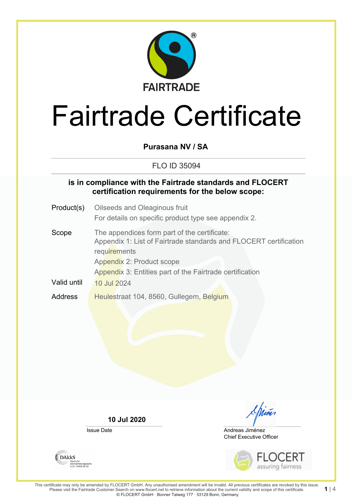

# Fairtrade Certificate

**Purasana NV / SA**

FLO ID 35094

### **is in compliance with the Fairtrade standards and FLOCERT certification requirements for the below scope:**

- Product(s) Oilseeds and Oleaginous fruit For details on specific product type see appendix 2.
- Scope The appendices form part of the certificate: Appendix 1: List of Fairtrade standards and FLOCERT certification **requirements** Appendix 2: Product scope Appendix 3: Entities part of the Fairtrade certification Valid until  $\sqrt{10}$  Jul 2024 Address Heulestraat 104, 8560, Gullegem, Belgium

**10 Jul 2020**

Issue Date

Chief Executive Officer Andreas Jiménez



**1** | 4

**DAKKS** Akkreditierungsstelle<br>D-ZE-14408-01-00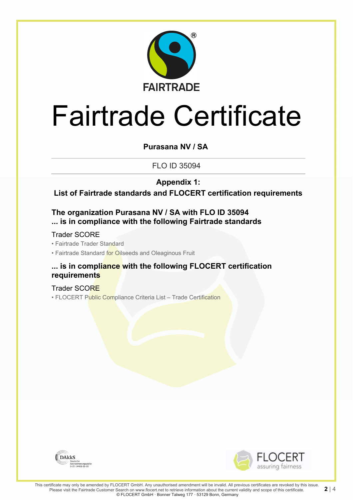

# Fairtrade Certificate

**Purasana NV / SA**

FLO ID 35094

**Appendix 1:**

**List of Fairtrade standards and FLOCERT certification requirements**

### **The organization Purasana NV / SA with FLO ID 35094 ... is in compliance with the following Fairtrade standards**

Trader SCORE

• Fairtrade Trader Standard

• Fairtrade Standard for Oilseeds and Oleaginous Fruit

### **... is in compliance with the following FLOCERT certification requirements**

Trader SCORE • FLOCERT Public Compliance Criteria List - Trade Certification